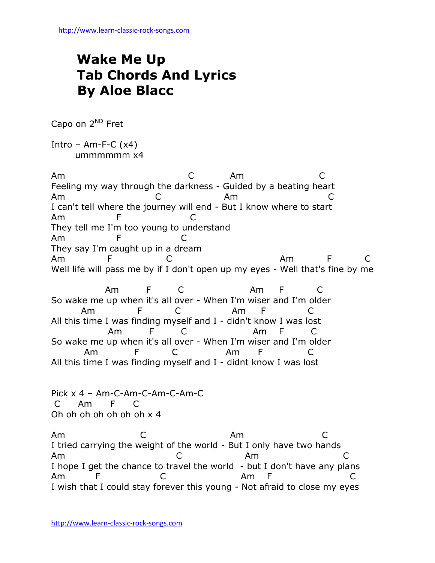## **Wake Me Up Tab Chords And Lyrics By Aloe Blacc**

Capo on 2<sup>ND</sup> Fret

Intro – Am-F-C  $(x4)$ ummmmmm x4

Am C Am C Feeling my way through the darkness - Guided by a beating heart Am C Am C I can't tell where the journey will end - But I know where to start Am F C They tell me I'm too young to understand Am F C They say I'm caught up in a dream Am F C Am F C Well life will pass me by if I don't open up my eyes - Well that's fine by me

 Am F C Am F C So wake me up when it's all over - When I'm wiser and I'm older Am F C Am F C All this time I was finding myself and I - didn't know I was lost Am F C Am F C So wake me up when it's all over - When I'm wiser and I'm older Am F C Am F C All this time I was finding myself and I - didnt know I was lost

Pick x 4 – Am-C-Am-C-Am-C-Am-C C Am F C Oh oh oh oh oh oh oh x 4

Am C Am C I tried carrying the weight of the world - But I only have two hands Am C Am C I hope I get the chance to travel the world - but I don't have any plans Am F C Am F C I wish that I could stay forever this young - Not afraid to close my eyes